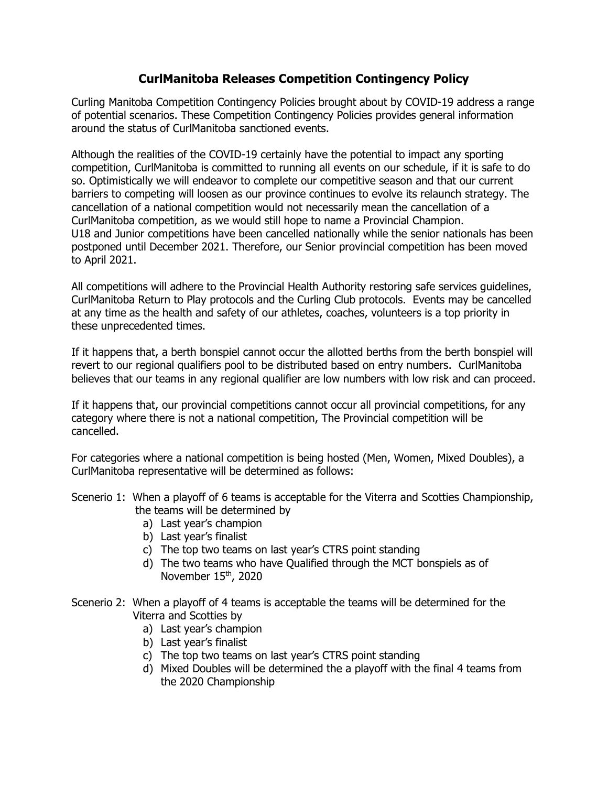## **CurlManitoba Releases Competition Contingency Policy**

Curling Manitoba Competition Contingency Policies brought about by COVID-19 address a range of potential scenarios. These Competition Contingency Policies provides general information around the status of CurlManitoba sanctioned events.

Although the realities of the COVID-19 certainly have the potential to impact any sporting competition, CurlManitoba is committed to running all events on our schedule, if it is safe to do so. Optimistically we will endeavor to complete our competitive season and that our current barriers to competing will loosen as our province continues to evolve its relaunch strategy. The cancellation of a national competition would not necessarily mean the cancellation of a CurlManitoba competition, as we would still hope to name a Provincial Champion. U18 and Junior competitions have been cancelled nationally while the senior nationals has been postponed until December 2021. Therefore, our Senior provincial competition has been moved to April 2021.

All competitions will adhere to the Provincial Health Authority restoring safe services guidelines, CurlManitoba Return to Play protocols and the Curling Club protocols. Events may be cancelled at any time as the health and safety of our athletes, coaches, volunteers is a top priority in these unprecedented times.

If it happens that, a berth bonspiel cannot occur the allotted berths from the berth bonspiel will revert to our regional qualifiers pool to be distributed based on entry numbers. CurlManitoba believes that our teams in any regional qualifier are low numbers with low risk and can proceed.

If it happens that, our provincial competitions cannot occur all provincial competitions, for any category where there is not a national competition, The Provincial competition will be cancelled.

For categories where a national competition is being hosted (Men, Women, Mixed Doubles), a CurlManitoba representative will be determined as follows:

- Scenerio 1: When a playoff of 6 teams is acceptable for the Viterra and Scotties Championship, the teams will be determined by
	- a) Last year's champion
	- b) Last year's finalist
	- c) The top two teams on last year's CTRS point standing
	- d) The two teams who have Qualified through the MCT bonspiels as of November 15<sup>th</sup>, 2020
- Scenerio 2: When a playoff of 4 teams is acceptable the teams will be determined for the Viterra and Scotties by
	- a) Last year's champion
	- b) Last year's finalist
	- c) The top two teams on last year's CTRS point standing
	- d) Mixed Doubles will be determined the a playoff with the final 4 teams from the 2020 Championship